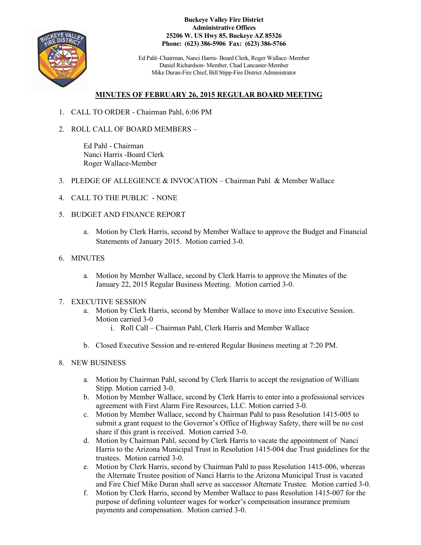

**Buckeye Valley Fire District Administrative Offices 25206 W. US Hwy 85, Buckeye AZ 85326 Phone: (623) 386-5906 Fax: (623) 386-5766**

Ed Pahl–Chairman, Nanci Harris- Board Clerk, Roger Wallace–Member Daniel Richardson- Member, Chad Lancaster-Member Mike Duran-Fire Chief, Bill Stipp-Fire District Administrator

## **MINUTES OF FEBRUARY 26, 2015 REGULAR BOARD MEETING**

- 1. CALL TO ORDER Chairman Pahl, 6:06 PM
- 2. ROLL CALL OF BOARD MEMBERS –

Ed Pahl - Chairman Nanci Harris -Board Clerk Roger Wallace-Member

- 3. PLEDGE OF ALLEGIENCE & INVOCATION Chairman Pahl & Member Wallace
- 4. CALL TO THE PUBLIC NONE
- 5. BUDGET AND FINANCE REPORT
	- a. Motion by Clerk Harris, second by Member Wallace to approve the Budget and Financial Statements of January 2015. Motion carried 3-0.
- 6. MINUTES
	- a. Motion by Member Wallace, second by Clerk Harris to approve the Minutes of the January 22, 2015 Regular Business Meeting. Motion carried 3-0.

## 7. EXECUTIVE SESSION

- a. Motion by Clerk Harris, second by Member Wallace to move into Executive Session. Motion carried 3-0
	- i. Roll Call Chairman Pahl, Clerk Harris and Member Wallace
- b. Closed Executive Session and re-entered Regular Business meeting at 7:20 PM.

## 8. NEW BUSINESS

- a. Motion by Chairman Pahl, second by Clerk Harris to accept the resignation of William Stipp. Motion carried 3-0.
- b. Motion by Member Wallace, second by Clerk Harris to enter into a professional services agreement with First Alarm Fire Resources, LLC. Motion carried 3-0.
- c. Motion by Member Wallace, second by Chairman Pahl to pass Resolution 1415-005 to submit a grant request to the Governor's Office of Highway Safety, there will be no cost share if this grant is received. Motion carried 3-0.
- d. Motion by Chairman Pahl, second by Clerk Harris to vacate the appointment of Nanci Harris to the Arizona Municipal Trust in Resolution 1415-004 due Trust guidelines for the trustees. Motion carried 3-0.
- e. Motion by Clerk Harris, second by Chairman Pahl to pass Resolution 1415-006, whereas the Alternate Trustee position of Nanci Harris to the Arizona Municipal Trust is vacated and Fire Chief Mike Duran shall serve as successor Alternate Trustee. Motion carried 3-0.
- f. Motion by Clerk Harris, second by Member Wallace to pass Resolution 1415-007 for the purpose of defining volunteer wages for worker's compensation insurance premium payments and compensation. Motion carried 3-0.